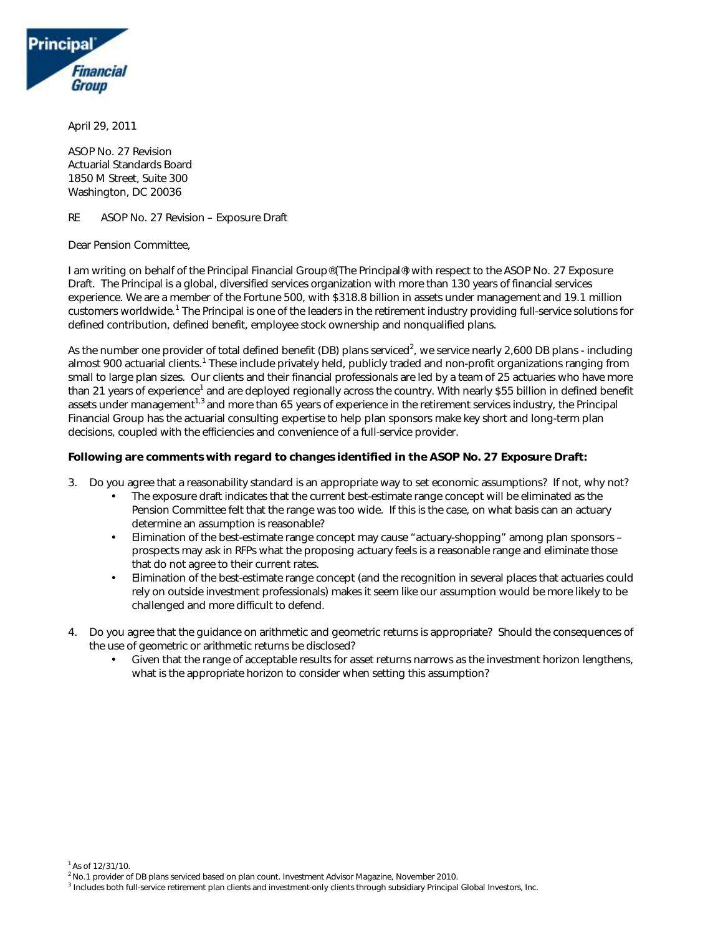

April 29, 2011

ASOP No. 27 Revision Actuarial Standards Board 1850 M Street, Suite 300 Washington, DC 20036

RE ASOP No. 27 Revision – Exposure Draft

Dear Pension Committee,

I am writing on behalf of the Principal Financial Group® (The Principal®) with respect to the ASOP No. 27 Exposure Draft. The Principal is a global, diversified services organization with more than 130 years of financial services experience. We are a member of the Fortune 500, with \$318.8 billion in assets under management and 19.1 million customers worldwide.<sup>1</sup> The Principal is one of the leaders in the retirement industry providing full-service solutions for defined contribution, defined benefit, employee stock ownership and nonqualified plans.

As the number one provider of total defined benefit (DB) plans serviced<sup>2</sup>, we service nearly 2,600 DB plans - including almost 900 actuarial clients.<sup>1</sup> These include privately held, publicly traded and non-profit organizations ranging from small to large plan sizes. Our clients and their financial professionals are led by a team of 25 actuaries who have more than 21 years of experience<sup>1</sup> and are deployed regionally across the country. With nearly \$55 billion in defined benefit assets under management<sup>1,3</sup> and more than 65 years of experience in the retirement services industry, the Principal Financial Group has the actuarial consulting expertise to help plan sponsors make key short and long-term plan decisions, coupled with the efficiencies and convenience of a full-service provider.

## **Following are comments with regard to changes identified in the ASOP No. 27 Exposure Draft:**

- 3. Do you agree that a reasonability standard is an appropriate way to set economic assumptions? If not, why not?
	- The exposure draft indicates that the current best-estimate range concept will be eliminated as the Pension Committee felt that the range was too wide. If this is the case, on what basis can an actuary determine an assumption is reasonable?
	- Elimination of the best-estimate range concept may cause "actuary-shopping" among plan sponsors prospects may ask in RFPs what the proposing actuary feels is a reasonable range and eliminate those that do not agree to their current rates.
	- Elimination of the best-estimate range concept (and the recognition in several places that actuaries could rely on outside investment professionals) makes it seem like our assumption would be more likely to be challenged and more difficult to defend.
- 4. Do you agree that the guidance on arithmetic and geometric returns is appropriate? Should the consequences of the use of geometric or arithmetic returns be disclosed?
	- Given that the range of acceptable results for asset returns narrows as the investment horizon lengthens, what is the appropriate horizon to consider when setting this assumption?

 $1^1$  As of 12/31/10.

<sup>3</sup> Includes both full-service retirement plan clients and investment-only clients through subsidiary Principal Global Investors, Inc.

<sup>2</sup>No.1 provider of DB plans serviced based on plan count. *Investment Advisor Magazine*, November 2010.